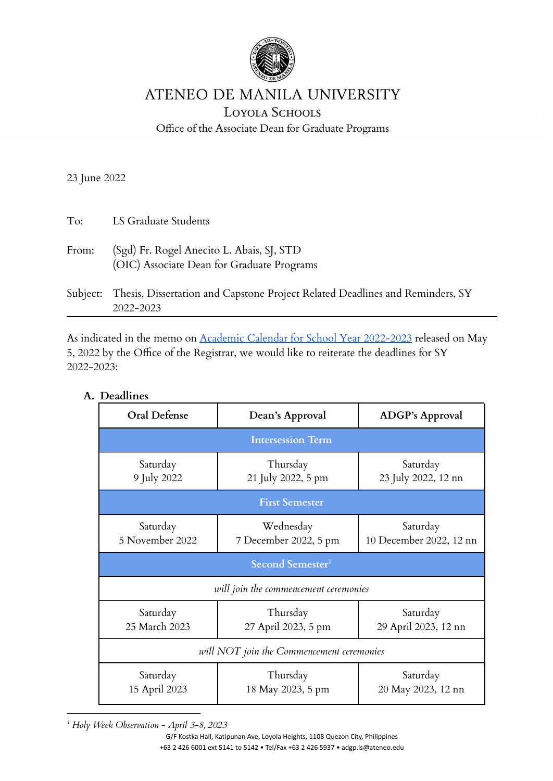

## ATENEO DE MANILA UNIVERSITY

**LOYOLA SCHOOLS** 

Office of the Associate Dean for Graduate Programs

23 June 2022

| To:   | LS Graduate Students                                                                    |
|-------|-----------------------------------------------------------------------------------------|
| From: | (Sgd) Fr. Rogel Anecito L. Abais, SJ, STD<br>(OIC) Associate Dean for Graduate Programs |
|       | Subject: Thesis, Dissertation and Capstone Project Related Deadlines and Reminders, SY  |

As indicated in the memo on Academic Calendar for School Year [2022-2023](https://www.ateneo.edu/document/2022/05/05/academic-calendar-school-year-2022-2023-ls-ro-memo) released on May 5, 2022 by the Office of the Registrar, we would like to reiterate the deadlines for SY 2022-2023:

| Oral Defense                              | Dean's Approval                    | <b>ADGP's Approval</b>              |  |
|-------------------------------------------|------------------------------------|-------------------------------------|--|
| <b>Intersession Term</b>                  |                                    |                                     |  |
| Saturday<br>9 July 2022                   | Thursday<br>21 July 2022, 5 pm     | Saturday<br>23 July 2022, 12 nn     |  |
| <b>First Semester</b>                     |                                    |                                     |  |
| Saturday<br>5 November 2022               | Wednesday<br>7 December 2022, 5 pm | Saturday<br>10 December 2022, 12 nn |  |
| Second Semester <sup>1</sup>              |                                    |                                     |  |
| will join the commencement ceremonies     |                                    |                                     |  |
| Saturday<br>25 March 2023                 | Thursday<br>27 April 2023, 5 pm    | Saturday<br>29 April 2023, 12 nn    |  |
| will NOT join the Commencement ceremonies |                                    |                                     |  |
| Saturday<br>15 April 2023                 | Thursday<br>18 May 2023, 5 pm      | Saturday<br>20 May 2023, 12 nn      |  |

**A. Deadlines**

2022-2023

*<sup>1</sup> Holy Week Observation - April 3-8, 2023*